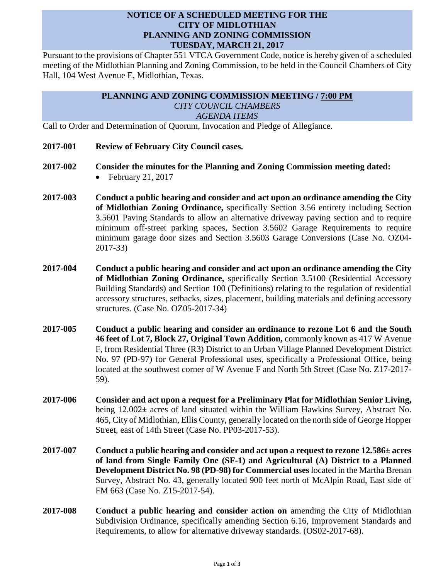## **NOTICE OF A SCHEDULED MEETING FOR THE CITY OF MIDLOTHIAN PLANNING AND ZONING COMMISSION TUESDAY, MARCH 21, 2017**

Pursuant to the provisions of Chapter 551 VTCA Government Code, notice is hereby given of a scheduled meeting of the Midlothian Planning and Zoning Commission, to be held in the Council Chambers of City Hall, 104 West Avenue E, Midlothian, Texas.

## **PLANNING AND ZONING COMMISSION MEETING / 7:00 PM** *CITY COUNCIL CHAMBERS AGENDA ITEMS*

Call to Order and Determination of Quorum, Invocation and Pledge of Allegiance.

- **2017-001 Review of February City Council cases.**
- **2017-002 Consider the minutes for the Planning and Zoning Commission meeting dated:**

 $\bullet$  February 21, 2017

- **2017-003 Conduct a public hearing and consider and act upon an ordinance amending the City of Midlothian Zoning Ordinance,** specifically Section 3.56 entirety including Section 3.5601 Paving Standards to allow an alternative driveway paving section and to require minimum off-street parking spaces, Section 3.5602 Garage Requirements to require minimum garage door sizes and Section 3.5603 Garage Conversions (Case No. OZ04- 2017-33)
- **2017-004 Conduct a public hearing and consider and act upon an ordinance amending the City of Midlothian Zoning Ordinance,** specifically Section 3.5100 (Residential Accessory Building Standards) and Section 100 (Definitions) relating to the regulation of residential accessory structures, setbacks, sizes, placement, building materials and defining accessory structures. (Case No. OZ05-2017-34)
- **2017-005 Conduct a public hearing and consider an ordinance to rezone Lot 6 and the South 46 feet of Lot 7, Block 27, Original Town Addition,** commonly known as 417 W Avenue F, from Residential Three (R3) District to an Urban Village Planned Development District No. 97 (PD-97) for General Professional uses, specifically a Professional Office, being located at the southwest corner of W Avenue F and North 5th Street (Case No. Z17-2017- 59).
- **2017-006 Consider and act upon a request for a Preliminary Plat for Midlothian Senior Living,**  being 12.002**±** acres of land situated within the William Hawkins Survey, Abstract No. 465, City of Midlothian, Ellis County, generally located on the north side of George Hopper Street, east of 14th Street (Case No. PP03-2017-53).
- **2017-007 Conduct a public hearing and consider and act upon a request to rezone 12.586± acres of land from Single Family One (SF-1) and Agricultural (A) District to a Planned Development District No. 98 (PD-98) for Commercial uses** located in the Martha Brenan Survey, Abstract No. 43, generally located 900 feet north of McAlpin Road, East side of FM 663 (Case No. Z15-2017-54).
- **2017-008 Conduct a public hearing and consider action on** amending the City of Midlothian Subdivision Ordinance, specifically amending Section 6.16, Improvement Standards and Requirements, to allow for alternative driveway standards. (OS02-2017-68).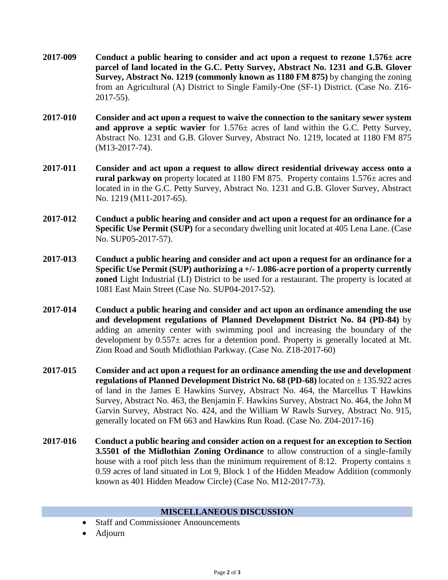- **2017-009 Conduct a public hearing to consider and act upon a request to rezone 1.576± acre parcel of land located in the G.C. Petty Survey, Abstract No. 1231 and G.B. Glover Survey, Abstract No. 1219 (commonly known as 1180 FM 875)** by changing the zoning from an Agricultural (A) District to Single Family-One (SF-1) District. (Case No. Z16- 2017-55).
- **2017-010 Consider and act upon a request to waive the connection to the sanitary sewer system and approve a septic wavier** for 1.576± acres of land within the G.C. Petty Survey, Abstract No. 1231 and G.B. Glover Survey, Abstract No. 1219, located at 1180 FM 875 (M13-2017-74).
- **2017-011 Consider and act upon a request to allow direct residential driveway access onto a rural parkway on** property located at 1180 FM 875. Property contains 1.576± acres and located in in the G.C. Petty Survey, Abstract No. 1231 and G.B. Glover Survey, Abstract No. 1219 (M11-2017-65).
- **2017-012 Conduct a public hearing and consider and act upon a request for an ordinance for a Specific Use Permit (SUP)** for a secondary dwelling unit located at 405 Lena Lane. (Case No. SUP05-2017-57).
- **2017-013 Conduct a public hearing and consider and act upon a request for an ordinance for a Specific Use Permit (SUP) authorizing a +/- 1.086-acre portion of a property currently zoned** Light Industrial (LI) District to be used for a restaurant. The property is located at 1081 East Main Street (Case No. SUP04-2017-52).
- **2017-014 Conduct a public hearing and consider and act upon an ordinance amending the use and development regulations of Planned Development District No. 84 (PD-84)** by adding an amenity center with swimming pool and increasing the boundary of the development by 0.557± acres for a detention pond. Property is generally located at Mt. Zion Road and South Midlothian Parkway. (Case No. Z18-2017-60)
- **2017-015 Consider and act upon a request for an ordinance amending the use and development regulations of Planned Development District No. 68 (PD-68)** located on ± 135.922 acres of land in the James E Hawkins Survey, Abstract No. 464, the Marcellus T Hawkins Survey, Abstract No. 463, the Benjamin F. Hawkins Survey, Abstract No. 464, the John M Garvin Survey, Abstract No. 424, and the William W Rawls Survey, Abstract No. 915, generally located on FM 663 and Hawkins Run Road. (Case No. Z04-2017-16)
- **2017-016 Conduct a public hearing and consider action on a request for an exception to Section 3.5501 of the Midlothian Zoning Ordinance** to allow construction of a single-family house with a roof pitch less than the minimum requirement of 8:12. Property contains  $\pm$ 0.59 acres of land situated in Lot 9, Block 1 of the Hidden Meadow Addition (commonly known as 401 Hidden Meadow Circle) (Case No. M12-2017-73).

## **MISCELLANEOUS DISCUSSION**

- Staff and Commissioner Announcements
- Adjourn